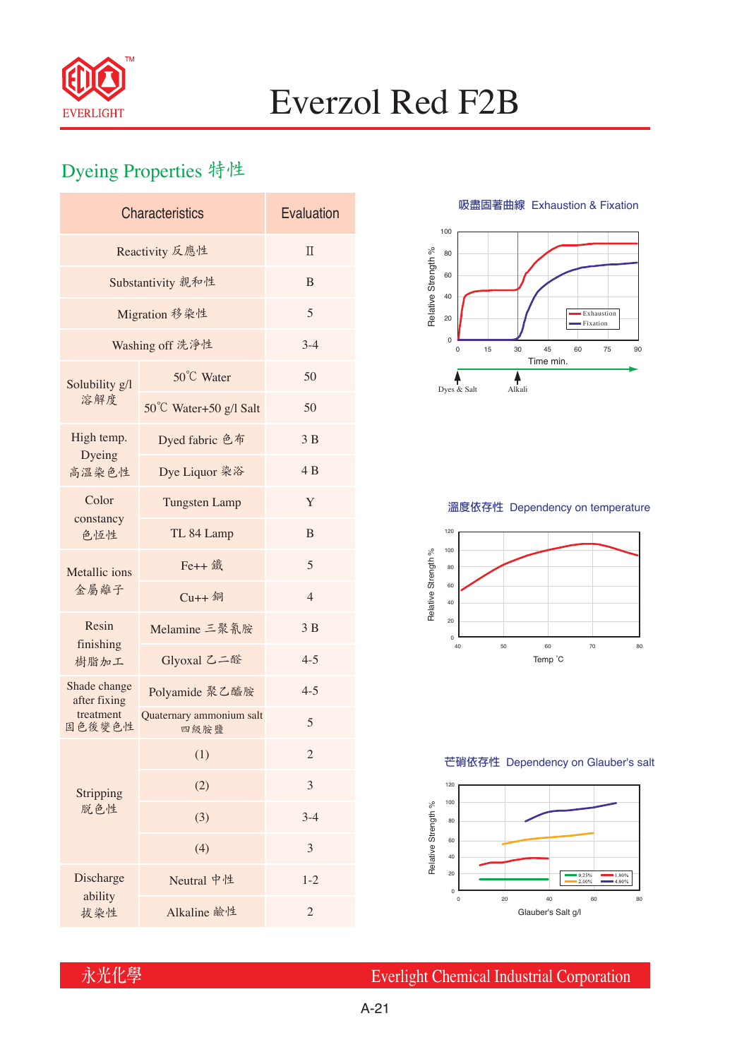

# Everzol Red F2B

## Dyeing Properties 特性

| <b>Characteristics</b>       | Evaluation                       |                |  |  |  |
|------------------------------|----------------------------------|----------------|--|--|--|
| Reactivity 反應性               | $\Pi$                            |                |  |  |  |
| Substantivity 親和性            | B                                |                |  |  |  |
| Migration 移染性                | 5                                |                |  |  |  |
| Washing off 洗淨性              | $3-4$                            |                |  |  |  |
| Solubility g/l               | 50°C Water                       | 50             |  |  |  |
| 溶解度                          | 50°C Water+50 g/l Salt           | 50             |  |  |  |
| High temp.                   | Dyed fabric 色布                   | 3B             |  |  |  |
| Dyeing<br>高溫染色性              | Dye Liquor 染浴                    | 4 B            |  |  |  |
| Color                        | <b>Tungsten Lamp</b>             | Y              |  |  |  |
| constancy<br>色恆性             | TL 84 Lamp                       | B              |  |  |  |
| Metallic ions                | Fe++ 鐵                           | 5              |  |  |  |
| 金屬離子                         | Cu++ 銅                           | $\overline{4}$ |  |  |  |
| Resin<br>finishing           | Melamine 三聚氰胺                    | 3B             |  |  |  |
| 樹脂加工                         | Glyoxal 乙二醛                      | $4 - 5$        |  |  |  |
| Shade change<br>after fixing | Polyamide 聚乙醯胺                   | $4 - 5$        |  |  |  |
| treatment<br>固色後變色性          | Quaternary ammonium salt<br>四級胺鹽 | 5              |  |  |  |
|                              | (1)                              | $\overline{2}$ |  |  |  |
| Stripping                    | (2)                              | 3              |  |  |  |
| 脱色性                          | (3)                              | $3-4$          |  |  |  |
|                              | (4)                              | 3              |  |  |  |
| Discharge                    | Neutral 中性                       | $1 - 2$        |  |  |  |
| ability<br>拔染性               | Alkaline 鹼性                      | $\overline{2}$ |  |  |  |

**吸盡固著曲線** Exhaustion & Fixation



### **溫度依存性** Dependency on temperature



#### **芒硝依存性** Dependency on Glauber's salt